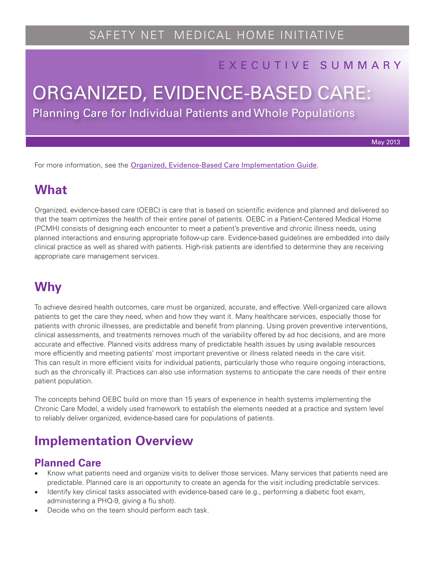### EXECUTIVE SUMMARY

# ORGANIZED, EVIDENCE-BASED CARE:

Planning Care for Individual Patients and Whole Populations

May 2013

For more information, see the [Organized, Evidence-Based Care Implementation Guide](http://www.safetynetmedicalhome.org/sites/default/files/Implementation-Guide-Evidence-Based-Care.pdf).

## **What**

Organized, evidence-based care (OEBC) is care that is based on scientific evidence and planned and delivered so that the team optimizes the health of their entire panel of patients. OEBC in a Patient-Centered Medical Home (PCMH) consists of designing each encounter to meet a patient's preventive and chronic illness needs, using planned interactions and ensuring appropriate follow-up care. Evidence-based guidelines are embedded into daily clinical practice as well as shared with patients. High-risk patients are identified to determine they are receiving appropriate care management services.

# **Why**

To achieve desired health outcomes, care must be organized, accurate, and effective. Well-organized care allows patients to get the care they need, when and how they want it. Many healthcare services, especially those for patients with chronic illnesses, are predictable and benefit from planning. Using proven preventive interventions, clinical assessments, and treatments removes much of the variability offered by ad hoc decisions, and are more accurate and effective. Planned visits address many of predictable health issues by using available resources more efficiently and meeting patients' most important preventive or illness related needs in the care visit. This can result in more efficient visits for individual patients, particularly those who require ongoing interactions, such as the chronically ill. Practices can also use information systems to anticipate the care needs of their entire patient population.

The concepts behind OEBC build on more than 15 years of experience in health systems implementing the Chronic Care Model, a widely used framework to establish the elements needed at a practice and system level to reliably deliver organized, evidence-based care for populations of patients.

# **Implementation Overview**

#### **Planned Care**

- Know what patients need and organize visits to deliver those services. Many services that patients need are predictable. Planned care is an opportunity to create an agenda for the visit including predictable services.
- Identify key clinical tasks associated with evidence-based care (e.g., performing a diabetic foot exam, administering a PHQ-9, giving a flu shot).
- Decide who on the team should perform each task.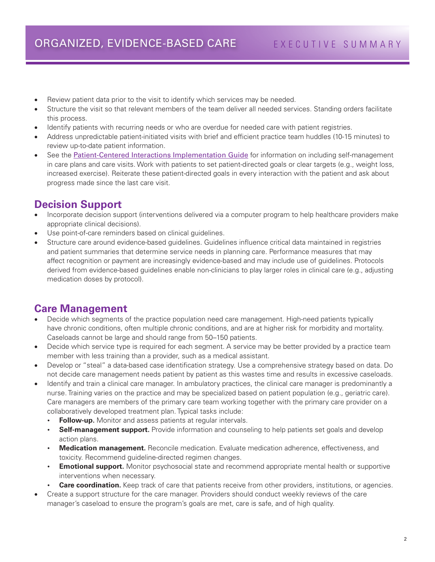- Review patient data prior to the visit to identify which services may be needed.
- Structure the visit so that relevant members of the team deliver all needed services. Standing orders facilitate this process.
- Identify patients with recurring needs or who are overdue for needed care with patient registries.
- Address unpredictable patient-initiated visits with brief and efficient practice team huddles (10-15 minutes) to review up-to-date patient information.
- See the [Patient-Centered Interactions Implementation Guide](http://www.safetynetmedicalhome.org/sites/default/files/Implementation-Guide-Patient-Centered-Interactions.pdf) for information on including self-management in care plans and care visits. Work with patients to set patient-directed goals or clear targets (e.g., weight loss, increased exercise). Reiterate these patient-directed goals in every interaction with the patient and ask about progress made since the last care visit.

#### **Decision Support**

- Incorporate decision support (interventions delivered via a computer program to help healthcare providers make appropriate clinical decisions).
- Use point-of-care reminders based on clinical guidelines.
- Structure care around evidence-based guidelines. Guidelines influence critical data maintained in registries and patient summaries that determine service needs in planning care. Performance measures that may affect recognition or payment are increasingly evidence-based and may include use of guidelines. Protocols derived from evidence-based guidelines enable non-clinicians to play larger roles in clinical care (e.g., adjusting medication doses by protocol).

#### **Care Management**

- Decide which segments of the practice population need care management. High-need patients typically have chronic conditions, often multiple chronic conditions, and are at higher risk for morbidity and mortality. Caseloads cannot be large and should range from 50–150 patients.
- Decide which service type is required for each segment. A service may be better provided by a practice team member with less training than a provider, such as a medical assistant.
- Develop or "steal" a data-based case identification strategy. Use a comprehensive strategy based on data. Do not decide care management needs patient by patient as this wastes time and results in excessive caseloads.
- Identify and train a clinical care manager. In ambulatory practices, the clinical care manager is predominantly a nurse. Training varies on the practice and may be specialized based on patient population (e.g., geriatric care). Care managers are members of the primary care team working together with the primary care provider on a collaboratively developed treatment plan. Typical tasks include:
	- **Follow-up.** Monitor and assess patients at regular intervals.
	- **Self-management support.** Provide information and counseling to help patients set goals and develop action plans.
	- **Medication management.** Reconcile medication. Evaluate medication adherence, effectiveness, and toxicity. Recommend guideline-directed regimen changes.
	- • **Emotional support.** Monitor psychosocial state and recommend appropriate mental health or supportive interventions when necessary.
	- **Care coordination.** Keep track of care that patients receive from other providers, institutions, or agencies.
- Create a support structure for the care manager. Providers should conduct weekly reviews of the care manager's caseload to ensure the program's goals are met, care is safe, and of high quality.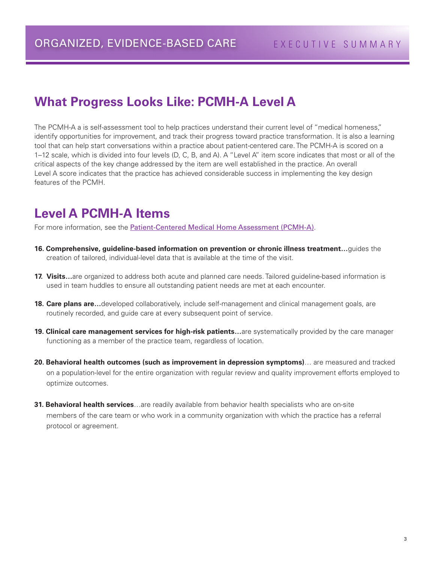## **What Progress Looks Like: PCMH-A Level A**

The PCMH-A a is self-assessment tool to help practices understand their current level of "medical homeness," identify opportunities for improvement, and track their progress toward practice transformation. It is also a learning tool that can help start conversations within a practice about patient-centered care. The PCMH-A is scored on a 1–12 scale, which is divided into four levels (D, C, B, and A). A "Level A" item score indicates that most or all of the critical aspects of the key change addressed by the item are well established in the practice. An overall Level A score indicates that the practice has achieved considerable success in implementing the key design features of the PCMH.

# **Level A PCMH-A Items**

For more information, see the **Patient-Centered Medical Home Assessment** (PCMH-A).

- **16. Comprehensive, guideline-based information on prevention or chronic illness treatment…**guides the creation of tailored, individual-level data that is available at the time of the visit.
- **17. Visits…**are organized to address both acute and planned care needs. Tailored guideline-based information is used in team huddles to ensure all outstanding patient needs are met at each encounter.
- **18. Care plans are…**developed collaboratively, include self-management and clinical management goals, are routinely recorded, and guide care at every subsequent point of service.
- **19. Clinical care management services for high-risk patients…**are systematically provided by the care manager functioning as a member of the practice team, regardless of location.
- **20. Behavioral health outcomes (such as improvement in depression symptoms)**… are measured and tracked on a population-level for the entire organization with regular review and quality improvement efforts employed to optimize outcomes.
- **31. Behavioral health services**…are readily available from behavior health specialists who are on-site members of the care team or who work in a community organization with which the practice has a referral protocol or agreement.